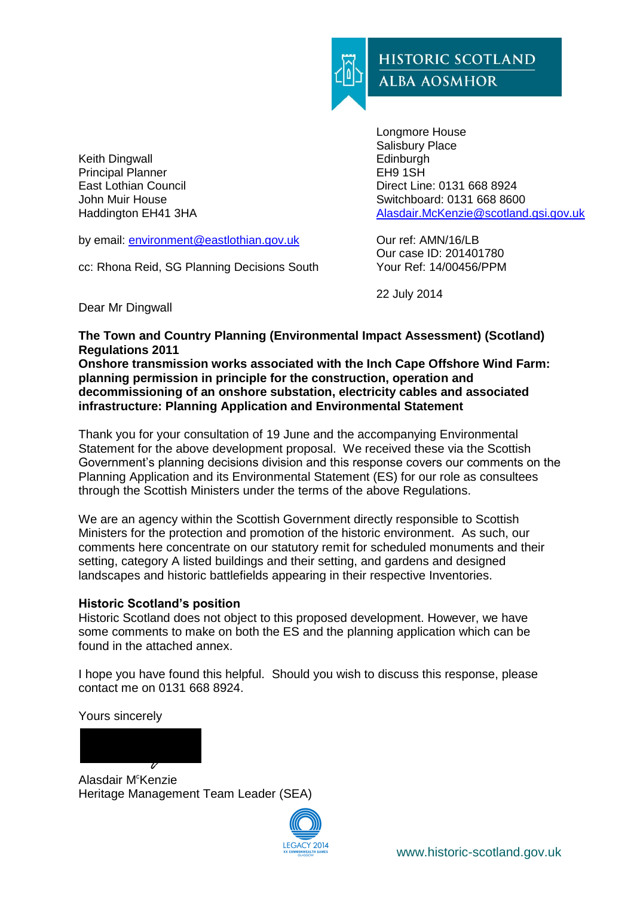

Keith Dingwall Principal Planner East Lothian Council John Muir House Haddington EH41 3HA

by email: [environment@eastlothian.gov.uk](mailto:environment@eastlothian.gov.uk)

cc: Rhona Reid, SG Planning Decisions South

Longmore House Salisbury Place **Edinburgh** EH9 1SH Direct Line: 0131 668 8924 Switchboard: 0131 668 8600 [Alasdair.McKenzie@scotland.gsi.gov.uk](mailto:Alasdair.McKenzie@scotland.gsi.gov.uk)

Our ref: AMN/16/LB Our case ID: 201401780 Your Ref: 14/00456/PPM

22 July 2014

Dear Mr Dingwall

**The Town and Country Planning (Environmental Impact Assessment) (Scotland) Regulations 2011**

**Onshore transmission works associated with the Inch Cape Offshore Wind Farm: planning permission in principle for the construction, operation and decommissioning of an onshore substation, electricity cables and associated infrastructure: Planning Application and Environmental Statement**

Thank you for your consultation of 19 June and the accompanying Environmental Statement for the above development proposal. We received these via the Scottish Government's planning decisions division and this response covers our comments on the Planning Application and its Environmental Statement (ES) for our role as consultees through the Scottish Ministers under the terms of the above Regulations.

We are an agency within the Scottish Government directly responsible to Scottish Ministers for the protection and promotion of the historic environment. As such, our comments here concentrate on our statutory remit for scheduled monuments and their setting, category A listed buildings and their setting, and gardens and designed landscapes and historic battlefields appearing in their respective Inventories.

#### **Historic Scotland's position**

Historic Scotland does not object to this proposed development. However, we have some comments to make on both the ES and the planning application which can be found in the attached annex.

I hope you have found this helpful. Should you wish to discuss this response, please contact me on 0131 668 8924.

Yours sincerely

Alasdair M<sup>c</sup>Kenzie Heritage Management Team Leader (SEA)

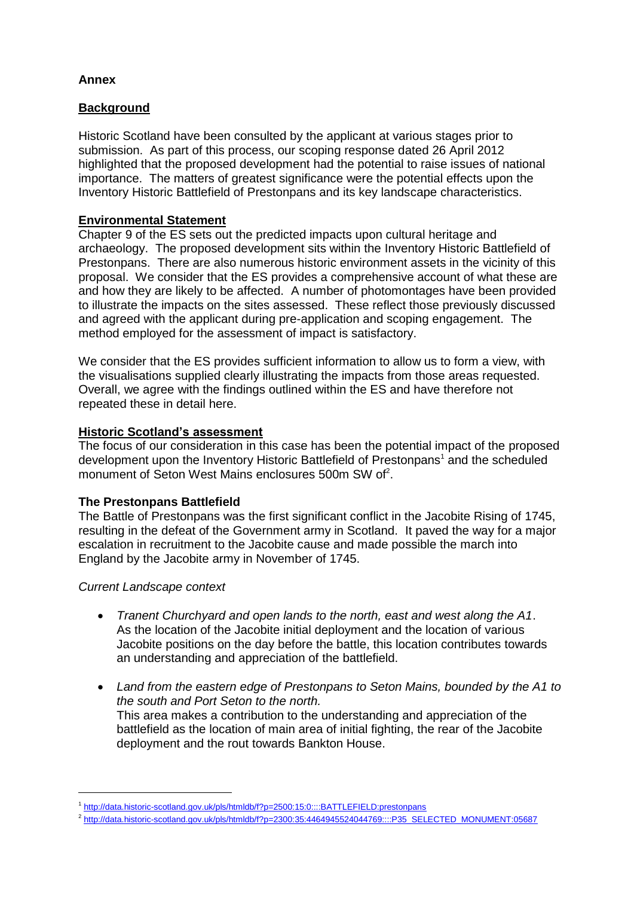# **Annex**

# **Background**

Historic Scotland have been consulted by the applicant at various stages prior to submission. As part of this process, our scoping response dated 26 April 2012 highlighted that the proposed development had the potential to raise issues of national importance. The matters of greatest significance were the potential effects upon the Inventory Historic Battlefield of Prestonpans and its key landscape characteristics.

## **Environmental Statement**

Chapter 9 of the ES sets out the predicted impacts upon cultural heritage and archaeology. The proposed development sits within the Inventory Historic Battlefield of Prestonpans. There are also numerous historic environment assets in the vicinity of this proposal. We consider that the ES provides a comprehensive account of what these are and how they are likely to be affected. A number of photomontages have been provided to illustrate the impacts on the sites assessed. These reflect those previously discussed and agreed with the applicant during pre-application and scoping engagement. The method employed for the assessment of impact is satisfactory.

We consider that the ES provides sufficient information to allow us to form a view, with the visualisations supplied clearly illustrating the impacts from those areas requested. Overall, we agree with the findings outlined within the ES and have therefore not repeated these in detail here.

## **Historic Scotland's assessment**

The focus of our consideration in this case has been the potential impact of the proposed development upon the Inventory Historic Battlefield of Prestonpans<sup>1</sup> and the scheduled monument of Seton West Mains enclosures 500m SW of<sup>2</sup>.

# **The Prestonpans Battlefield**

The Battle of Prestonpans was the first significant conflict in the Jacobite Rising of 1745, resulting in the defeat of the Government army in Scotland. It paved the way for a major escalation in recruitment to the Jacobite cause and made possible the march into England by the Jacobite army in November of 1745.

#### *Current Landscape context*

 $\overline{a}$ 

- *Tranent Churchyard and open lands to the north, east and west along the A1*. As the location of the Jacobite initial deployment and the location of various Jacobite positions on the day before the battle, this location contributes towards an understanding and appreciation of the battlefield.
- *Land from the eastern edge of Prestonpans to Seton Mains, bounded by the A1 to the south and Port Seton to the north.*  This area makes a contribution to the understanding and appreciation of the battlefield as the location of main area of initial fighting, the rear of the Jacobite deployment and the rout towards Bankton House.

<sup>&</sup>lt;sup>1</sup> <http://data.historic-scotland.gov.uk/pls/htmldb/f?p=2500:15:0::::BATTLEFIELD:prestonpans>

<sup>&</sup>lt;sup>2</sup> [http://data.historic-scotland.gov.uk/pls/htmldb/f?p=2300:35:4464945524044769::::P35\\_SELECTED\\_MONUMENT:05687](http://data.historic-scotland.gov.uk/pls/htmldb/f?p=2300:35:4464945524044769::::P35_SELECTED_MONUMENT:05687)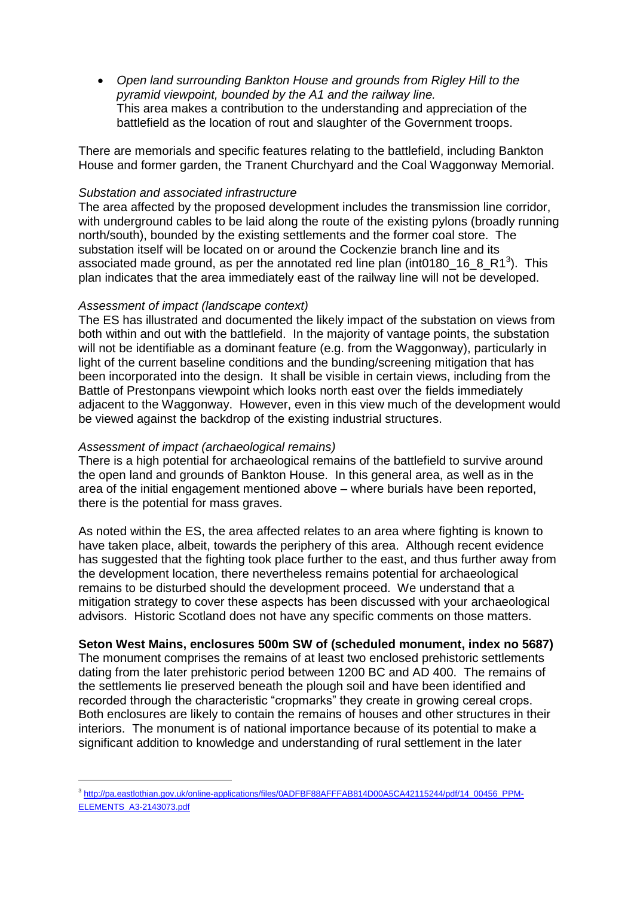*Open land surrounding Bankton House and grounds from Rigley Hill to the pyramid viewpoint, bounded by the A1 and the railway line.*  This area makes a contribution to the understanding and appreciation of the battlefield as the location of rout and slaughter of the Government troops.

There are memorials and specific features relating to the battlefield, including Bankton House and former garden, the Tranent Churchyard and the Coal Waggonway Memorial.

#### *Substation and associated infrastructure*

The area affected by the proposed development includes the transmission line corridor, with underground cables to be laid along the route of the existing pylons (broadly running north/south), bounded by the existing settlements and the former coal store. The substation itself will be located on or around the Cockenzie branch line and its associated made ground, as per the annotated red line plan (int0180\_16\_8\_R1<sup>3</sup>). This plan indicates that the area immediately east of the railway line will not be developed.

## *Assessment of impact (landscape context)*

The ES has illustrated and documented the likely impact of the substation on views from both within and out with the battlefield. In the majority of vantage points, the substation will not be identifiable as a dominant feature (e.g. from the Waggonway), particularly in light of the current baseline conditions and the bunding/screening mitigation that has been incorporated into the design. It shall be visible in certain views, including from the Battle of Prestonpans viewpoint which looks north east over the fields immediately adjacent to the Waggonway. However, even in this view much of the development would be viewed against the backdrop of the existing industrial structures.

#### *Assessment of impact (archaeological remains)*

 $\overline{a}$ 

There is a high potential for archaeological remains of the battlefield to survive around the open land and grounds of Bankton House. In this general area, as well as in the area of the initial engagement mentioned above – where burials have been reported, there is the potential for mass graves.

As noted within the ES, the area affected relates to an area where fighting is known to have taken place, albeit, towards the periphery of this area. Although recent evidence has suggested that the fighting took place further to the east, and thus further away from the development location, there nevertheless remains potential for archaeological remains to be disturbed should the development proceed. We understand that a mitigation strategy to cover these aspects has been discussed with your archaeological advisors. Historic Scotland does not have any specific comments on those matters.

# **Seton West Mains, enclosures 500m SW of (scheduled monument, index no 5687)**

The monument comprises the remains of at least two enclosed prehistoric settlements dating from the later prehistoric period between 1200 BC and AD 400. The remains of the settlements lie preserved beneath the plough soil and have been identified and recorded through the characteristic "cropmarks" they create in growing cereal crops. Both enclosures are likely to contain the remains of houses and other structures in their interiors. The monument is of national importance because of its potential to make a significant addition to knowledge and understanding of rural settlement in the later

<sup>3</sup> [http://pa.eastlothian.gov.uk/online-applications/files/0ADFBF88AFFFAB814D00A5CA42115244/pdf/14\\_00456\\_PPM-](http://pa.eastlothian.gov.uk/online-applications/files/0ADFBF88AFFFAB814D00A5CA42115244/pdf/14_00456_PPM-ELEMENTS_A3-2143073.pdf)[ELEMENTS\\_A3-2143073.pdf](http://pa.eastlothian.gov.uk/online-applications/files/0ADFBF88AFFFAB814D00A5CA42115244/pdf/14_00456_PPM-ELEMENTS_A3-2143073.pdf)